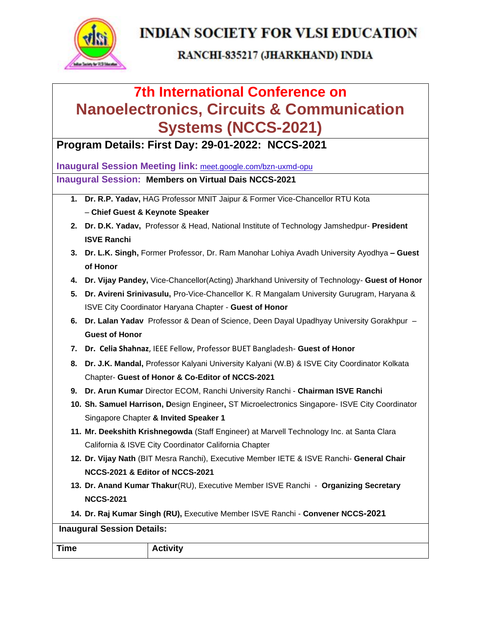

#### RANCHI-835217 (JHARKHAND) INDIA

# **7th International Conference on Nanoelectronics, Circuits & Communication Systems (NCCS-2021)**

**Program Details: First Day: 29-01-2022: NCCS-2021**

**Inaugural Session Meeting link:** [meet.google.com/bzn-uxmd-opu](https://meet.google.com/bzn-uxmd-opu?hs=224) **Inaugural Session: Members on Virtual Dais NCCS-2021**

- **1. Dr. R.P. Yadav,** HAG Professor MNIT Jaipur & Former Vice-Chancellor RTU Kota – **Chief Guest & Keynote Speaker**
- **2. Dr. D.K. Yadav,** Professor & Head, National Institute of Technology Jamshedpur- **President ISVE Ranchi**
- **3. Dr. L.K. Singh,** Former Professor, Dr. Ram Manohar Lohiya Avadh University Ayodhya **– Guest of Honor**
- **4. Dr. Vijay Pandey,** Vice-Chancellor(Acting) Jharkhand University of Technology- **Guest of Honor**
- **5. Dr. Avireni Srinivasulu,** Pro-Vice-Chancellor K. R Mangalam University Gurugram, Haryana & ISVE City Coordinator Haryana Chapter - **Guest of Honor**
- **6. Dr. Lalan Yadav** Professor & Dean of Science, Deen Dayal Upadhyay University Gorakhpur **Guest of Honor**
- **7. Dr. Celia Shahnaz**, IEEE Fellow, Professor BUET Bangladesh- **Guest of Honor**
- **8. Dr. J.K. Mandal,** Professor Kalyani University Kalyani (W.B) & ISVE City Coordinator Kolkata Chapter- **Guest of Honor & Co-Editor of NCCS-2021**
- **9. Dr. Arun Kumar** Director ECOM, Ranchi University Ranchi **Chairman ISVE Ranchi**
- **10. Sh. Samuel Harrison, D**esign Engineer**,** ST Microelectronics Singapore- ISVE City Coordinator Singapore Chapter **& Invited Speaker 1**
- **11. Mr. Deekshith Krishnegowda** (Staff Engineer) at Marvell Technology Inc. at Santa Clara California & ISVE City Coordinator California Chapter
- **12. Dr. Vijay Nath** (BIT Mesra Ranchi), Executive Member IETE & ISVE Ranchi- **General Chair NCCS-2021 & Editor of NCCS-2021**
- **13. Dr. Anand Kumar Thakur**(RU), Executive Member ISVE Ranchi **Organizing Secretary NCCS-2021**
- **14. Dr. Raj Kumar Singh (RU),** Executive Member ISVE Ranchi **Convener NCCS-2021**

| <b>Inaugural Session Details:</b> |                 |  |  |
|-----------------------------------|-----------------|--|--|
| <b>Time</b>                       | <b>Activity</b> |  |  |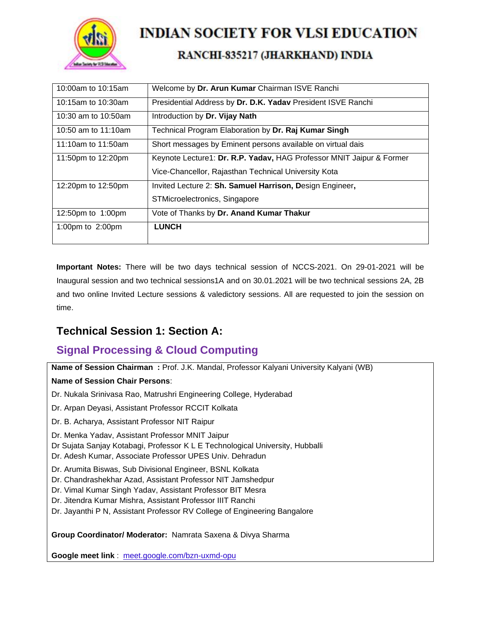

### RANCHI-835217 (JHARKHAND) INDIA

| 10:00am to 10:15am     | Welcome by Dr. Arun Kumar Chairman ISVE Ranchi                       |
|------------------------|----------------------------------------------------------------------|
| 10:15am to 10:30am     | Presidential Address by Dr. D.K. Yadav President ISVE Ranchi         |
| 10:30 am to $10:50$ am | Introduction by Dr. Vijay Nath                                       |
| 10:50 am to $11:10$ am | Technical Program Elaboration by Dr. Raj Kumar Singh                 |
| 11:10am to 11:50am     | Short messages by Eminent persons available on virtual dais          |
| 11:50pm to 12:20pm     | Keynote Lecture1: Dr. R.P. Yadav, HAG Professor MNIT Jaipur & Former |
|                        | Vice-Chancellor, Rajasthan Technical University Kota                 |
| 12:20pm to 12:50pm     | Invited Lecture 2: Sh. Samuel Harrison, Design Engineer,             |
|                        | STMicroelectronics, Singapore                                        |
| 12:50pm to 1:00pm      | Vote of Thanks by Dr. Anand Kumar Thakur                             |
| 1:00pm to $2:00$ pm    | <b>LUNCH</b>                                                         |
|                        |                                                                      |

**Important Notes:** There will be two days technical session of NCCS-2021. On 29-01-2021 will be Inaugural session and two technical sessions1A and on 30.01.2021 will be two technical sessions 2A, 2B and two online Invited Lecture sessions & valedictory sessions. All are requested to join the session on time.

### **Technical Session 1: Section A:**

### **Signal Processing & Cloud Computing**

**Name of Session Chairman :** Prof. J.K. Mandal, Professor Kalyani University Kalyani (WB)

#### **Name of Session Chair Persons**:

- Dr. Nukala Srinivasa Rao, Matrushri Engineering College, Hyderabad
- Dr. Arpan Deyasi, Assistant Professor RCCIT Kolkata
- Dr. B. Acharya, Assistant Professor NIT Raipur
- Dr. Menka Yadav, Assistant Professor MNIT Jaipur
- Dr Sujata Sanjay Kotabagi, Professor K L E Technological University, Hubballi
- Dr. Adesh Kumar, Associate Professor UPES Univ. Dehradun
- Dr. Arumita Biswas, Sub Divisional Engineer, BSNL Kolkata
- Dr. Chandrashekhar Azad, Assistant Professor NIT Jamshedpur
- Dr. Vimal Kumar Singh Yadav, Assistant Professor BIT Mesra
- Dr. Jitendra Kumar Mishra, Assistant Professor IIIT Ranchi
- Dr. Jayanthi P N, Assistant Professor RV College of Engineering Bangalore

#### **Group Coordinator/ Moderator:** Namrata Saxena & Divya Sharma

**Google meet link** : [meet.google.com/bzn-uxmd-opu](https://meet.google.com/bzn-uxmd-opu?hs=224)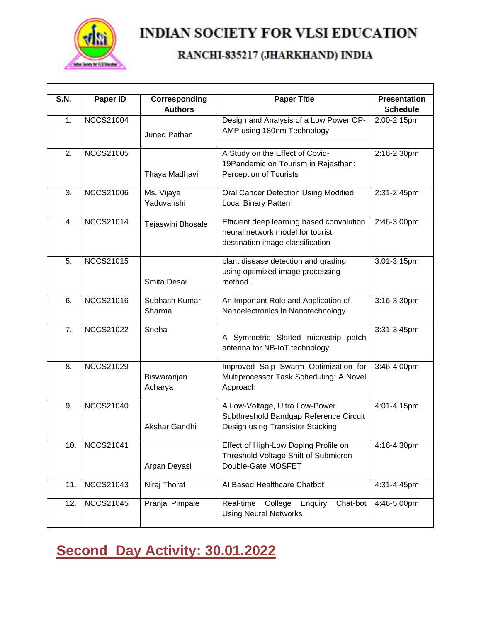

### RANCHI-835217 (JHARKHAND) INDIA

| <b>S.N.</b> | Paper ID         | Corresponding<br><b>Authors</b> | <b>Paper Title</b>                                                                                                | <b>Presentation</b><br><b>Schedule</b> |
|-------------|------------------|---------------------------------|-------------------------------------------------------------------------------------------------------------------|----------------------------------------|
| 1.          | <b>NCCS21004</b> | Juned Pathan                    | Design and Analysis of a Low Power OP-<br>AMP using 180nm Technology                                              | 2:00-2:15pm                            |
| 2.          | <b>NCCS21005</b> | Thaya Madhavi                   | A Study on the Effect of Covid-<br>19Pandemic on Tourism in Rajasthan:<br>Perception of Tourists                  | 2:16-2:30pm                            |
| 3.          | <b>NCCS21006</b> | Ms. Vijaya<br>Yaduvanshi        | Oral Cancer Detection Using Modified<br><b>Local Binary Pattern</b>                                               | 2:31-2:45pm                            |
| 4.          | <b>NCCS21014</b> | Tejaswini Bhosale               | Efficient deep learning based convolution<br>neural network model for tourist<br>destination image classification | 2:46-3:00pm                            |
| 5.          | <b>NCCS21015</b> | Smita Desai                     | plant disease detection and grading<br>using optimized image processing<br>method.                                | 3:01-3:15pm                            |
| 6.          | <b>NCCS21016</b> | Subhash Kumar<br>Sharma         | An Important Role and Application of<br>Nanoelectronics in Nanotechnology                                         | 3:16-3:30pm                            |
| 7.          | <b>NCCS21022</b> | Sneha                           | A Symmetric Slotted microstrip patch<br>antenna for NB-IoT technology                                             | 3:31-3:45pm                            |
| 8.          | <b>NCCS21029</b> | Biswaranjan<br>Acharya          | Improved Salp Swarm Optimization for<br>Multiprocessor Task Scheduling: A Novel<br>Approach                       | 3:46-4:00pm                            |
| 9.          | <b>NCCS21040</b> | Akshar Gandhi                   | A Low-Voltage, Ultra Low-Power<br>Subthreshold Bandgap Reference Circuit<br>Design using Transistor Stacking      | 4:01-4:15pm                            |
| 10.         | <b>NCCS21041</b> | Arpan Deyasi                    | Effect of High-Low Doping Profile on<br>Threshold Voltage Shift of Submicron<br>Double-Gate MOSFET                | 4:16-4:30pm                            |
| 11.         | <b>NCCS21043</b> | Niraj Thorat                    | Al Based Healthcare Chatbot                                                                                       | 4:31-4:45pm                            |
| 12.         | <b>NCCS21045</b> | Pranjal Pimpale                 | Real-time<br>College<br>Chat-bot<br>Enquiry<br><b>Using Neural Networks</b>                                       | 4:46-5:00pm                            |

# **Second Day Activity: 30.01.2022**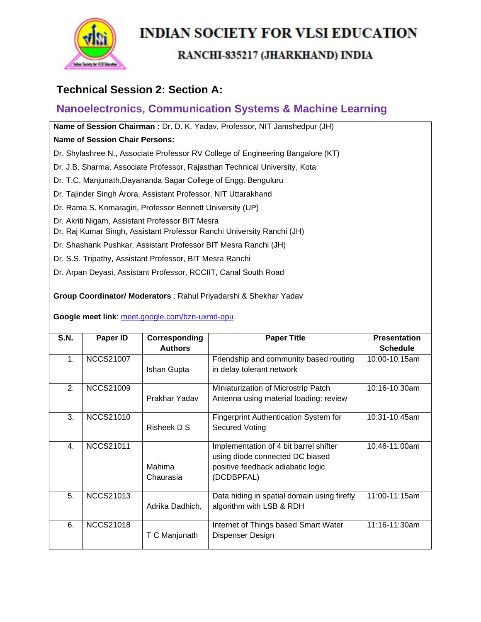

#### RANCHI-835217 (JHARKHAND) INDIA

### **Technical Session 2: Section A:**

### **Nanoelectronics, Communication Systems & Machine Learning**

**Name of Session Chairman :** Dr. D. K. Yadav, Professor, NIT Jamshedpur (JH)

#### **Name of Session Chair Persons:**

Dr. Shylashree N., Associate Professor RV College of Engineering Bangalore (KT)

- Dr. J.B. Sharma, Associate Professor, Rajasthan Technical University, Kota
- Dr. T.C. Manjunath,Dayananda Sagar College of Engg. Benguluru
- Dr. Tajinder Singh Arora, Assistant Professor, NIT Uttarakhand
- Dr. Rama S. Komaragiri, Professor Bennett University (UP)
- Dr. Akriti Nigam, Assistant Professor BIT Mesra
- Dr. Raj Kumar Singh, Assistant Professor Ranchi University Ranchi (JH)
- Dr. Shashank Pushkar, Assistant Professor BIT Mesra Ranchi (JH)
- Dr. S.S. Tripathy, Assistant Professor, BIT Mesra Ranchi
- Dr. Arpan Deyasi, Assistant Professor, RCCIIT, Canal South Road

**Group Coordinator/ Moderators** : Rahul Priyadarshi & Shekhar Yadav

#### **Google meet link**: [meet.google.com/bzn-uxmd-opu](https://meet.google.com/bzn-uxmd-opu?hs=224)

| S.N.           |                  |                 |                                              | <b>Presentation</b> |
|----------------|------------------|-----------------|----------------------------------------------|---------------------|
|                | Paper ID         | Corresponding   | <b>Paper Title</b>                           |                     |
|                |                  | <b>Authors</b>  |                                              | <b>Schedule</b>     |
| 1 <sub>1</sub> | <b>NCCS21007</b> |                 | Friendship and community based routing       | 10:00-10:15am       |
|                |                  | Ishan Gupta     | in delay tolerant network                    |                     |
|                |                  |                 |                                              |                     |
| 2.             | <b>NCCS21009</b> |                 | Miniaturization of Microstrip Patch          | 10:16-10:30am       |
|                |                  | Prakhar Yadav   | Antenna using material loading: review       |                     |
|                |                  |                 |                                              |                     |
| 3.             | <b>NCCS21010</b> |                 | <b>Fingerprint Authentication System for</b> | 10:31-10:45am       |
|                |                  | Risheek D S     |                                              |                     |
|                |                  |                 | Secured Voting                               |                     |
|                |                  |                 |                                              |                     |
| 4.             | <b>NCCS21011</b> |                 | Implementation of 4 bit barrel shifter       | 10:46-11:00am       |
|                |                  |                 | using diode connected DC biased              |                     |
|                |                  | Mahima          | positive feedback adiabatic logic            |                     |
|                |                  | Chaurasia       | (DCDBPFAL)                                   |                     |
|                |                  |                 |                                              |                     |
| 5.             | <b>NCCS21013</b> |                 | Data hiding in spatial domain using firefly  | 11:00-11:15am       |
|                |                  | Adrika Dadhich, | algorithm with LSB & RDH                     |                     |
|                |                  |                 |                                              |                     |
| 6.             | <b>NCCS21018</b> |                 | Internet of Things based Smart Water         | 11:16-11:30am       |
|                |                  | T C Manjunath   | Dispenser Design                             |                     |
|                |                  |                 |                                              |                     |
|                |                  |                 |                                              |                     |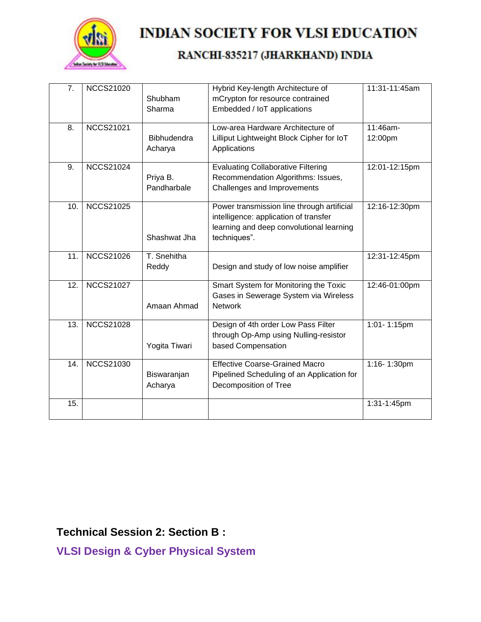

### RANCHI-835217 (JHARKHAND) INDIA

| 7.                | <b>NCCS21020</b> | Shubham<br>Sharma             | Hybrid Key-length Architecture of<br>mCrypton for resource contrained<br>Embedded / IoT applications                                            | 11:31-11:45am       |
|-------------------|------------------|-------------------------------|-------------------------------------------------------------------------------------------------------------------------------------------------|---------------------|
| 8.                | <b>NCCS21021</b> | <b>Bibhudendra</b><br>Acharya | Low-area Hardware Architecture of<br>Lilliput Lightweight Block Cipher for IoT<br>Applications                                                  | 11:46am-<br>12:00pm |
| 9.                | <b>NCCS21024</b> | Priya B.<br>Pandharbale       | <b>Evaluating Collaborative Filtering</b><br>Recommendation Algorithms: Issues,<br>Challenges and Improvements                                  | 12:01-12:15pm       |
| 10.               | <b>NCCS21025</b> | Shashwat Jha                  | Power transmission line through artificial<br>intelligence: application of transfer<br>learning and deep convolutional learning<br>techniques". | 12:16-12:30pm       |
| 11.               | <b>NCCS21026</b> | T. Snehitha<br>Reddy          | Design and study of low noise amplifier                                                                                                         | 12:31-12:45pm       |
| 12.               | <b>NCCS21027</b> | Amaan Ahmad                   | Smart System for Monitoring the Toxic<br>Gases in Sewerage System via Wireless<br><b>Network</b>                                                | 12:46-01:00pm       |
| $\overline{13}$ . | <b>NCCS21028</b> | Yogita Tiwari                 | Design of 4th order Low Pass Filter<br>through Op-Amp using Nulling-resistor<br>based Compensation                                              | $1:01 - 1:15$ pm    |
| 14.               | <b>NCCS21030</b> | Biswaranjan<br>Acharya        | <b>Effective Coarse-Grained Macro</b><br>Pipelined Scheduling of an Application for<br>Decomposition of Tree                                    | 1:16-1:30pm         |
| 15.               |                  |                               |                                                                                                                                                 | 1:31-1:45pm         |

**Technical Session 2: Section B :** 

**VLSI Design & Cyber Physical System**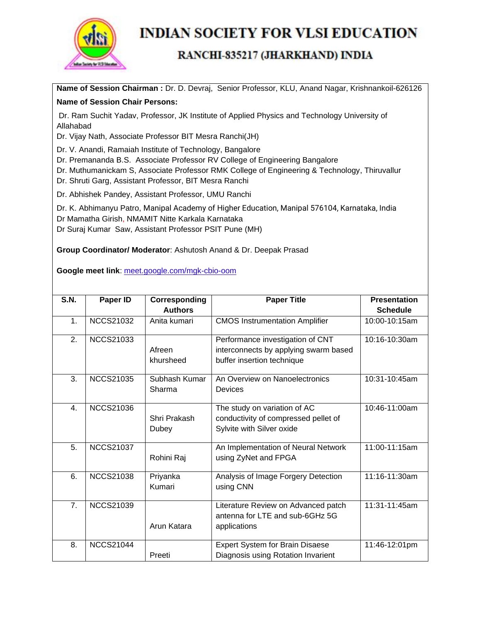

#### RANCHI-835217 (JHARKHAND) INDIA

**Name of Session Chairman :** Dr. D. Devraj, Senior Professor, KLU, Anand Nagar, Krishnankoil-626126

#### **Name of Session Chair Persons:**

Dr. Ram Suchit Yadav, Professor, JK Institute of Applied Physics and Technology University of Allahabad

Dr. Vijay Nath, Associate Professor BIT Mesra Ranchi(JH)

Dr. V. Anandi, Ramaiah Institute of Technology, Bangalore

Dr. Premananda B.S. Associate Professor RV College of Engineering Bangalore

Dr. Muthumanickam S, Associate Professor RMK College of Engineering & Technology, Thiruvallur

Dr. Shruti Garg, Assistant Professor, BIT Mesra Ranchi

Dr. Abhishek Pandey, Assistant Professor, UMU Ranchi

Dr. K. Abhimanyu Patro, Manipal Academy of Higher Education, Manipal 576104, Karnataka, India

Dr Mamatha Girish, NMAMIT Nitte Karkala Karnataka

Dr Suraj Kumar Saw, Assistant Professor PSIT Pune (MH)

**Group Coordinator/ Moderator**: Ashutosh Anand & Dr. Deepak Prasad

**Google meet link**: [meet.google.com/mgk-cbio-oom](https://meet.google.com/mgk-cbio-oom?hs=224)

| S.N.             | Paper ID         | Corresponding           | <b>Paper Title</b>                                                                                      | <b>Presentation</b> |  |
|------------------|------------------|-------------------------|---------------------------------------------------------------------------------------------------------|---------------------|--|
|                  |                  | <b>Authors</b>          |                                                                                                         | <b>Schedule</b>     |  |
| 1.               | <b>NCCS21032</b> | Anita kumari            | <b>CMOS Instrumentation Amplifier</b>                                                                   | 10:00-10:15am       |  |
| 2.               | <b>NCCS21033</b> | Afreen<br>khursheed     | Performance investigation of CNT<br>interconnects by applying swarm based<br>buffer insertion technique | 10:16-10:30am       |  |
| 3.               | <b>NCCS21035</b> | Subhash Kumar<br>Sharma | An Overview on Nanoelectronics<br>Devices                                                               | 10:31-10:45am       |  |
| $\overline{4}$ . | <b>NCCS21036</b> | Shri Prakash<br>Dubey   | The study on variation of AC<br>conductivity of compressed pellet of<br>Sylvite with Silver oxide       | 10:46-11:00am       |  |
| 5.               | <b>NCCS21037</b> | Rohini Raj              | An Implementation of Neural Network<br>using ZyNet and FPGA                                             | 11:00-11:15am       |  |
| 6.               | <b>NCCS21038</b> | Priyanka<br>Kumari      | Analysis of Image Forgery Detection<br>using CNN                                                        | 11:16-11:30am       |  |
| 7.               | <b>NCCS21039</b> | Arun Katara             | Literature Review on Advanced patch<br>antenna for LTE and sub-6GHz 5G<br>applications                  | 11:31-11:45am       |  |
| 8.               | <b>NCCS21044</b> | Preeti                  | Expert System for Brain Disaese<br>Diagnosis using Rotation Invarient                                   | 11:46-12:01pm       |  |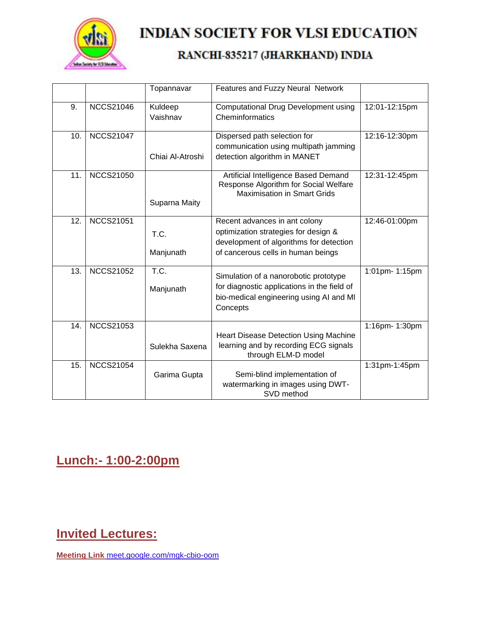

### RANCHI-835217 (JHARKHAND) INDIA

|     |                  | Topannavar          | Features and Fuzzy Neural Network                                                                                                                      |                |
|-----|------------------|---------------------|--------------------------------------------------------------------------------------------------------------------------------------------------------|----------------|
| 9.  | <b>NCCS21046</b> | Kuldeep<br>Vaishnav | <b>Computational Drug Development using</b><br>Cheminformatics                                                                                         | 12:01-12:15pm  |
| 10. | <b>NCCS21047</b> | Chiai Al-Atroshi    | Dispersed path selection for<br>communication using multipath jamming<br>detection algorithm in MANET                                                  | 12:16-12:30pm  |
| 11. | <b>NCCS21050</b> | Suparna Maity       | Artificial Intelligence Based Demand<br>Response Algorithm for Social Welfare<br><b>Maximisation in Smart Grids</b>                                    | 12:31-12:45pm  |
| 12. | <b>NCCS21051</b> | T.C.<br>Manjunath   | Recent advances in ant colony<br>optimization strategies for design &<br>development of algorithms for detection<br>of cancerous cells in human beings | 12:46-01:00pm  |
| 13. | <b>NCCS21052</b> | T.C.<br>Manjunath   | Simulation of a nanorobotic prototype<br>for diagnostic applications in the field of<br>bio-medical engineering using AI and MI<br>Concepts            | 1:01pm- 1:15pm |
| 14. | <b>NCCS21053</b> | Sulekha Saxena      | <b>Heart Disease Detection Using Machine</b><br>learning and by recording ECG signals<br>through ELM-D model                                           | 1:16pm- 1:30pm |
| 15. | <b>NCCS21054</b> | Garima Gupta        | Semi-blind implementation of<br>watermarking in images using DWT-<br>SVD method                                                                        | 1:31pm-1:45pm  |

## **Lunch:- 1:00-2:00pm**

### **Invited Lectures:**

**Meeting Link** [meet.google.com/mgk-cbio-oom](https://meet.google.com/mgk-cbio-oom?hs=224)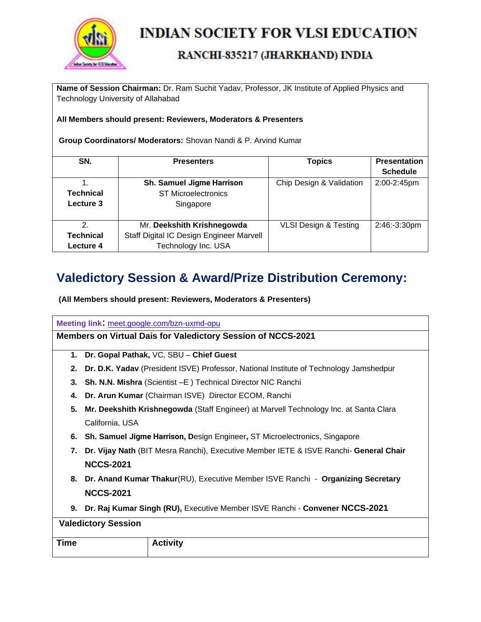

#### RANCHI-835217 (JHARKHAND) INDIA

**Name of Session Chairman:** Dr. Ram Suchit Yadav, Professor, JK Institute of Applied Physics and Technology University of Allahabad

#### **All Members should present: Reviewers, Moderators & Presenters**

**Group Coordinators/ Moderators:** Shovan Nandi & P. Arvind Kumar

| SN.              | <b>Presenters</b>                        | <b>Topics</b>                    | <b>Presentation</b> |
|------------------|------------------------------------------|----------------------------------|---------------------|
|                  |                                          |                                  | <b>Schedule</b>     |
|                  | <b>Sh. Samuel Jigme Harrison</b>         | Chip Design & Validation         | 2:00-2:45pm         |
| <b>Technical</b> | <b>ST Microelectronics</b>               |                                  |                     |
| Lecture 3        | Singapore                                |                                  |                     |
|                  |                                          |                                  |                     |
| 2.               | Mr. Deekshith Krishnegowda               | <b>VLSI Design &amp; Testing</b> | 2:46:-3:30pm        |
| Technical        | Staff Digital IC Design Engineer Marvell |                                  |                     |
| Lecture 4        | Technology Inc. USA                      |                                  |                     |

### **Valedictory Session & Award/Prize Distribution Ceremony:**

**(All Members should present: Reviewers, Moderators & Presenters)**

**Meeting link:** [meet.google.com/bzn-uxmd-opu](https://meet.google.com/bzn-uxmd-opu?hs=224)

**Members on Virtual Dais for Valedictory Session of NCCS-2021**

- **1. Dr. Gopal Pathak,** VC, SBU **Chief Guest**
- **2. Dr. D.K. Yadav** (President ISVE) Professor, National Institute of Technology Jamshedpur
- **3. Sh. N.N. Mishra** (Scientist –E ) Technical Director NIC Ranchi
- **4. Dr. Arun Kumar** (Chairman ISVE) Director ECOM, Ranchi
- **5. Mr. Deekshith Krishnegowda** (Staff Engineer) at Marvell Technology Inc. at Santa Clara California, USA
- **6. Sh. Samuel Jigme Harrison, D**esign Engineer**,** ST Microelectronics, Singapore
- **7. Dr. Vijay Nath** (BIT Mesra Ranchi), Executive Member IETE & ISVE Ranchi- **General Chair NCCS-2021**
- **8. Dr. Anand Kumar Thakur**(RU), Executive Member ISVE Ranchi **Organizing Secretary NCCS-2021**
- **9. Dr. Raj Kumar Singh (RU),** Executive Member ISVE Ranchi **Convener NCCS-2021**

| <b>Valedictory Session</b> |                 |  |  |
|----------------------------|-----------------|--|--|
| <b>Time</b>                | <b>Activity</b> |  |  |